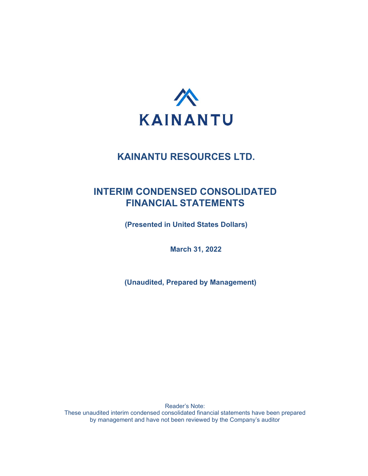

# **INTERIM CONDENSED CONSOLIDATED FINANCIAL STATEMENTS**

**(Presented in United States Dollars)**

**March 31, 2022**

**(Unaudited, Prepared by Management)**

Reader's Note: These unaudited interim condensed consolidated financial statements have been prepared by management and have not been reviewed by the Company's auditor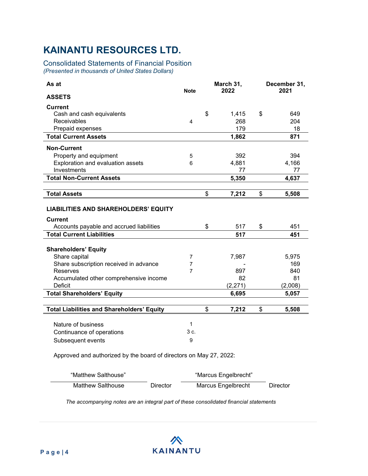### Consolidated Statements of Financial Position

*(Presented in thousands of United States Dollars)*

| As at                                                              | <b>Note</b>    |    | March 31,<br>2022 |    | December 31,<br>2021 |  |
|--------------------------------------------------------------------|----------------|----|-------------------|----|----------------------|--|
| <b>ASSETS</b>                                                      |                |    |                   |    |                      |  |
| <b>Current</b>                                                     |                |    |                   |    |                      |  |
| Cash and cash equivalents                                          |                | \$ | 1,415             | \$ | 649                  |  |
| Receivables                                                        | 4              |    | 268               |    | 204                  |  |
| Prepaid expenses                                                   |                |    | 179               |    | 18                   |  |
| <b>Total Current Assets</b>                                        |                |    | 1,862             |    | 871                  |  |
| <b>Non-Current</b>                                                 |                |    |                   |    |                      |  |
| Property and equipment                                             | 5              |    | 392               |    | 394                  |  |
| Exploration and evaluation assets                                  | 6              |    | 4,881             |    | 4,166                |  |
| Investments                                                        |                |    | 77                |    | 77                   |  |
| <b>Total Non-Current Assets</b>                                    |                |    | 5,350             |    | 4,637                |  |
|                                                                    |                |    |                   |    |                      |  |
| <b>Total Assets</b>                                                |                | \$ | 7,212             | \$ | 5,508                |  |
| <b>LIABILITIES AND SHAREHOLDERS' EQUITY</b>                        |                |    |                   |    |                      |  |
| <b>Current</b>                                                     |                |    |                   |    |                      |  |
| Accounts payable and accrued liabilities                           |                | \$ | 517               | \$ | 451                  |  |
| <b>Total Current Liabilities</b>                                   |                |    | 517               |    | 451                  |  |
| <b>Shareholders' Equity</b>                                        |                |    |                   |    |                      |  |
| Share capital                                                      | 7              |    | 7,987             |    | 5,975                |  |
| Share subscription received in advance                             | 7              |    |                   |    | 169                  |  |
| Reserves                                                           | $\overline{7}$ |    | 897               |    | 840                  |  |
| Accumulated other comprehensive income                             |                |    | 82                |    | 81                   |  |
| Deficit                                                            |                |    | (2,271)           |    | (2,008)              |  |
| <b>Total Shareholders' Equity</b>                                  |                |    | 6,695             |    | 5,057                |  |
|                                                                    |                |    |                   |    |                      |  |
| <b>Total Liabilities and Shareholders' Equity</b>                  |                | \$ | 7,212             | \$ | 5,508                |  |
|                                                                    | $\mathbf{1}$   |    |                   |    |                      |  |
| Nature of business                                                 | 3 c.           |    |                   |    |                      |  |
| Continuance of operations                                          |                |    |                   |    |                      |  |
| Subsequent events                                                  | 9              |    |                   |    |                      |  |
| Approved and authorized by the board of directors on May 27, 2022: |                |    |                   |    |                      |  |

| "Matthew Salthouse" |          | "Marcus Engelbrecht" |          |
|---------------------|----------|----------------------|----------|
| Matthew Salthouse   | Director | Marcus Engelbrecht   | Director |

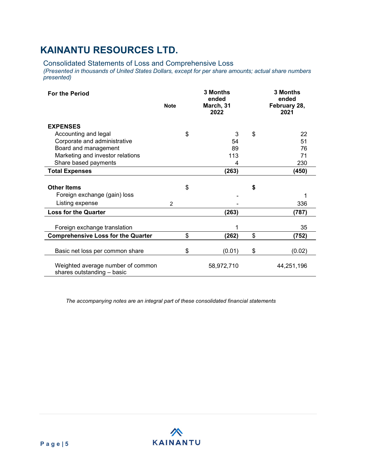Consolidated Statements of Loss and Comprehensive Loss

*(Presented in thousands of United States Dollars, except for per share amounts; actual share numbers presented)*

| <b>For the Period</b>                                           | <b>Note</b> | 3 Months<br>ended<br>March, 31<br>2022 |    | 3 Months<br>ended<br>February 28,<br>2021 |
|-----------------------------------------------------------------|-------------|----------------------------------------|----|-------------------------------------------|
| <b>EXPENSES</b>                                                 |             |                                        |    |                                           |
| Accounting and legal                                            |             | \$<br>3                                | \$ | 22                                        |
| Corporate and administrative                                    |             | 54                                     |    | 51                                        |
| Board and management                                            |             | 89                                     |    | 76                                        |
| Marketing and investor relations                                |             | 113                                    |    | 71                                        |
| Share based payments                                            |             | 4                                      |    | 230                                       |
| <b>Total Expenses</b>                                           |             | (263)                                  |    | (450)                                     |
|                                                                 |             |                                        |    |                                           |
| <b>Other Items</b>                                              |             | \$                                     | \$ |                                           |
| Foreign exchange (gain) loss                                    |             |                                        |    |                                           |
| Listing expense                                                 | 2           |                                        |    | 336                                       |
| <b>Loss for the Quarter</b>                                     |             | (263)                                  |    | (787)                                     |
|                                                                 |             |                                        |    |                                           |
| Foreign exchange translation                                    |             | 1                                      |    | 35                                        |
| <b>Comprehensive Loss for the Quarter</b>                       |             | \$<br>(262)                            | \$ | (752)                                     |
|                                                                 |             |                                        |    |                                           |
| Basic net loss per common share                                 |             | \$<br>(0.01)                           | \$ | (0.02)                                    |
| Weighted average number of common<br>shares outstanding - basic |             | 58,972,710                             |    | 44,251,196                                |

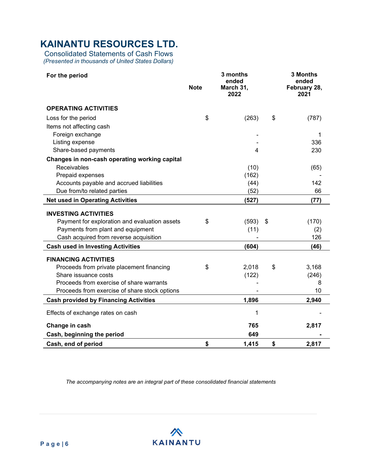Consolidated Statements of Cash Flows *(Presented in thousands of United States Dollars)*

| For the period                                | 3 months<br>ended<br><b>Note</b><br>March 31, |       | <b>3 Months</b><br>ended<br>February 28, |
|-----------------------------------------------|-----------------------------------------------|-------|------------------------------------------|
|                                               |                                               | 2022  | 2021                                     |
| <b>OPERATING ACTIVITIES</b>                   |                                               |       |                                          |
| Loss for the period                           | \$                                            | (263) | \$<br>(787)                              |
| Items not affecting cash                      |                                               |       |                                          |
| Foreign exchange                              |                                               |       |                                          |
| Listing expense                               |                                               |       | 336                                      |
| Share-based payments                          |                                               | 4     | 230                                      |
| Changes in non-cash operating working capital |                                               |       |                                          |
| Receivables                                   |                                               | (10)  | (65)                                     |
| Prepaid expenses                              |                                               | (162) |                                          |
| Accounts payable and accrued liabilities      |                                               | (44)  | 142                                      |
| Due from/to related parties                   |                                               | (52)  | 66                                       |
| <b>Net used in Operating Activities</b>       |                                               | (527) | (77)                                     |
| <b>INVESTING ACTIVITIES</b>                   |                                               |       |                                          |
| Payment for exploration and evaluation assets | \$                                            | (593) | \$<br>(170)                              |
| Payments from plant and equipment             |                                               | (11)  | (2)                                      |
| Cash acquired from reverse acquisition        |                                               |       | 126                                      |
| <b>Cash used in Investing Activities</b>      |                                               | (604) | (46)                                     |
| <b>FINANCING ACTIVITIES</b>                   |                                               |       |                                          |
| Proceeds from private placement financing     | \$                                            | 2,018 | \$<br>3,168                              |
| Share issuance costs                          |                                               | (122) | (246)                                    |
| Proceeds from exercise of share warrants      |                                               |       | 8                                        |
| Proceeds from exercise of share stock options |                                               |       | 10                                       |
| <b>Cash provided by Financing Activities</b>  |                                               | 1,896 | 2,940                                    |
| Effects of exchange rates on cash             |                                               | 1     |                                          |
|                                               |                                               |       |                                          |
| Change in cash                                |                                               | 765   | 2,817                                    |
| Cash, beginning the period                    |                                               | 649   |                                          |
| Cash, end of period                           | \$                                            | 1,415 | \$<br>2,817                              |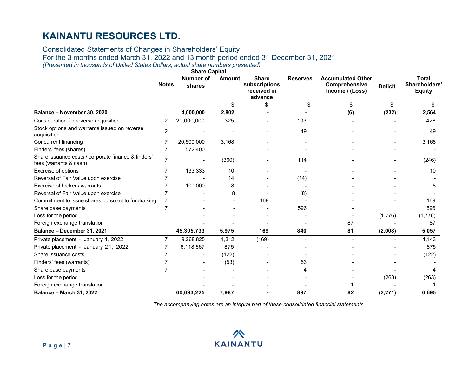Consolidated Statements of Changes in Shareholders' Equity For the 3 months ended March 31, 2022 and 13 month period ended 31 December 31, 2021

*(Presented in thousands of United States Dollars; actual share numbers presented)*

| <b>Share Capital</b>                                                          |                |                            |               |                                                         |                 |                                                              |                |                                                |
|-------------------------------------------------------------------------------|----------------|----------------------------|---------------|---------------------------------------------------------|-----------------|--------------------------------------------------------------|----------------|------------------------------------------------|
|                                                                               | <b>Notes</b>   | <b>Number of</b><br>shares | <b>Amount</b> | <b>Share</b><br>subscriptions<br>received in<br>advance | <b>Reserves</b> | <b>Accumulated Other</b><br>Comprehensive<br>Income / (Loss) | <b>Deficit</b> | <b>Total</b><br>Shareholders'<br><b>Equity</b> |
|                                                                               |                |                            | \$            | \$                                                      | \$              | \$                                                           | \$             | S                                              |
| Balance - November 30, 2020                                                   |                | 4,000,000                  | 2,802         |                                                         |                 | (6)                                                          | (232)          | 2,564                                          |
| Consideration for reverse acquisition                                         | $\overline{2}$ | 20,000,000                 | 325           |                                                         | 103             |                                                              |                | 428                                            |
| Stock options and warrants issued on reverse<br>acquisition                   | $\overline{c}$ |                            |               |                                                         | 49              |                                                              |                | 49                                             |
| <b>Concurrent financing</b>                                                   | 7              | 20,500,000                 | 3,168         |                                                         |                 |                                                              |                | 3,168                                          |
| Finders' fees (shares)                                                        | 7              | 572,400                    |               |                                                         |                 |                                                              |                |                                                |
| Share issuance costs / corporate finance & finders'<br>fees (warrants & cash) | $\overline{7}$ |                            | (360)         |                                                         | 114             |                                                              |                | (246)                                          |
| Exercise of options                                                           |                | 133,333                    | 10            |                                                         |                 |                                                              |                | 10                                             |
| Reversal of Fair Value upon exercise                                          |                |                            | 14            |                                                         | (14)            |                                                              |                |                                                |
| Exercise of brokers warrants                                                  |                | 100,000                    | 8             |                                                         |                 |                                                              |                |                                                |
| Reversal of Fair Value upon exercise                                          |                |                            | 8             |                                                         | (8)             |                                                              |                |                                                |
| Commitment to issue shares pursuant to fundraising                            | 7              |                            |               | 169                                                     |                 |                                                              |                | 169                                            |
| Share base payments                                                           | 7              |                            |               |                                                         | 596             |                                                              |                | 596                                            |
| Loss for the period                                                           |                |                            |               |                                                         |                 |                                                              | (1,776)        | (1,776)                                        |
| Foreign exchange translation                                                  |                |                            |               |                                                         |                 | 87                                                           |                | 87                                             |
| Balance - December 31, 2021                                                   |                | 45,305,733                 | 5,975         | 169                                                     | 840             | 81                                                           | (2,008)        | 5,057                                          |
| Private placement - January 4, 2022                                           |                | 9,268,825                  | 1,312         | (169)                                                   |                 |                                                              |                | 1,143                                          |
| Private placement - January 21, 2022                                          |                | 6,118,667                  | 875           |                                                         |                 |                                                              |                | 875                                            |
| Share issuance costs                                                          |                |                            | (122)         |                                                         |                 |                                                              |                | (122)                                          |
| Finders' fees (warrants)                                                      |                |                            | (53)          |                                                         | 53              |                                                              |                |                                                |
| Share base payments                                                           |                |                            |               |                                                         |                 |                                                              |                |                                                |
| Loss for the period                                                           |                |                            |               |                                                         |                 |                                                              | (263)          | (263)                                          |
| Foreign exchange translation                                                  |                |                            |               |                                                         |                 |                                                              |                |                                                |
| <b>Balance - March 31, 2022</b>                                               |                | 60,693,225                 | 7,987         |                                                         | 897             | 82                                                           | (2, 271)       | 6,695                                          |

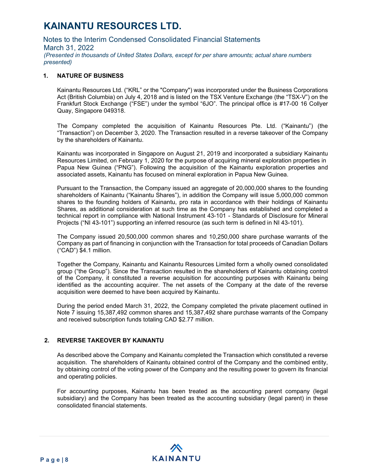Notes to the Interim Condensed Consolidated Financial Statements March 31, 2022 *(Presented in thousands of United States Dollars, except for per share amounts; actual share numbers presented)*

#### **1. NATURE OF BUSINESS**

Kainantu Resources Ltd. ("KRL" or the "Company") was incorporated under the Business Corporations Act (British Columbia) on July 4, 2018 and is listed on the TSX Venture Exchange (the "TSX-V") on the Frankfurt Stock Exchange ("FSE") under the symbol "6JO". The principal office is #17-00 16 Collyer Quay, Singapore 049318.

The Company completed the acquisition of Kainantu Resources Pte. Ltd. ("Kainantu") (the "Transaction") on December 3, 2020. The Transaction resulted in a reverse takeover of the Company by the shareholders of Kainantu.

Kainantu was incorporated in Singapore on August 21, 2019 and incorporated a subsidiary Kainantu Resources Limited, on February 1, 2020 for the purpose of acquiring mineral exploration properties in Papua New Guinea ("PNG"). Following the acquisition of the Kainantu exploration properties and associated assets, Kainantu has focused on mineral exploration in Papua New Guinea.

Pursuant to the Transaction, the Company issued an aggregate of 20,000,000 shares to the founding shareholders of Kainantu ("Kainantu Shares"), in addition the Company will issue 5,000,000 common shares to the founding holders of Kainantu, pro rata in accordance with their holdings of Kainantu Shares, as additional consideration at such time as the Company has established and completed a technical report in compliance with National Instrument 43-101 - Standards of Disclosure for Mineral Projects ("NI 43-101") supporting an inferred resource (as such term is defined in NI 43-101).

The Company issued 20,500,000 common shares and 10,250,000 share purchase warrants of the Company as part of financing in conjunction with the Transaction for total proceeds of Canadian Dollars ("CAD") \$4.1 million.

Together the Company, Kainantu and Kainantu Resources Limited form a wholly owned consolidated group ("the Group"). Since the Transaction resulted in the shareholders of Kainantu obtaining control of the Company, it constituted a reverse acquisition for accounting purposes with Kainantu being identified as the accounting acquirer. The net assets of the Company at the date of the reverse acquisition were deemed to have been acquired by Kainantu.

During the period ended March 31, 2022, the Company completed the private placement outlined in Note 7 issuing 15,387,492 common shares and 15,387,492 share purchase warrants of the Company and received subscription funds totaling CAD \$2.77 million.

#### **2. REVERSE TAKEOVER BY KAINANTU**

As described above the Company and Kainantu completed the Transaction which constituted a reverse acquisition. The shareholders of Kainantu obtained control of the Company and the combined entity, by obtaining control of the voting power of the Company and the resulting power to govern its financial and operating policies.

For accounting purposes, Kainantu has been treated as the accounting parent company (legal subsidiary) and the Company has been treated as the accounting subsidiary (legal parent) in these consolidated financial statements.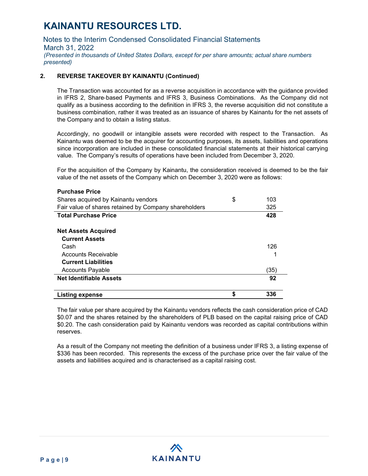Notes to the Interim Condensed Consolidated Financial Statements March 31, 2022 *(Presented in thousands of United States Dollars, except for per share amounts; actual share numbers presented)*

### **2. REVERSE TAKEOVER BY KAINANTU (Continued)**

The Transaction was accounted for as a reverse acquisition in accordance with the guidance provided in IFRS 2, Share‐based Payments and IFRS 3, Business Combinations. As the Company did not qualify as a business according to the definition in IFRS 3, the reverse acquisition did not constitute a business combination, rather it was treated as an issuance of shares by Kainantu for the net assets of the Company and to obtain a listing status.

Accordingly, no goodwill or intangible assets were recorded with respect to the Transaction. As Kainantu was deemed to be the acquirer for accounting purposes, its assets, liabilities and operations since incorporation are included in these consolidated financial statements at their historical carrying value. The Company's results of operations have been included from December 3, 2020.

For the acquisition of the Company by Kainantu, the consideration received is deemed to be the fair value of the net assets of the Company which on December 3, 2020 were as follows:

#### **Purchase Price**

| Shares acquired by Kainantu vendors                   | \$<br>103 |
|-------------------------------------------------------|-----------|
| Fair value of shares retained by Company shareholders | 325       |
| <b>Total Purchase Price</b>                           | 428       |
|                                                       |           |
| <b>Net Assets Acquired</b>                            |           |
| <b>Current Assets</b>                                 |           |
| Cash                                                  | 126       |
| Accounts Receivable                                   |           |
| <b>Current Liabilities</b>                            |           |
| <b>Accounts Payable</b>                               | (35)      |
| <b>Net Identifiable Assets</b>                        | 92        |
|                                                       |           |
| Listing expense                                       | \$<br>336 |

The fair value per share acquired by the Kainantu vendors reflects the cash consideration price of CAD \$0.07 and the shares retained by the shareholders of PLB based on the capital raising price of CAD \$0.20. The cash consideration paid by Kainantu vendors was recorded as capital contributions within reserves.

As a result of the Company not meeting the definition of a business under IFRS 3, a listing expense of \$336 has been recorded. This represents the excess of the purchase price over the fair value of the assets and liabilities acquired and is characterised as a capital raising cost.

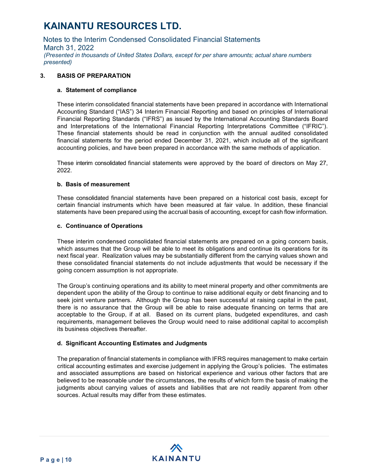Notes to the Interim Condensed Consolidated Financial Statements March 31, 2022 *(Presented in thousands of United States Dollars, except for per share amounts; actual share numbers presented)*

### **3. BASIS OF PREPARATION**

#### **a. Statement of compliance**

These interim consolidated financial statements have been prepared in accordance with International Accounting Standard ("IAS") 34 Interim Financial Reporting and based on principles of International Financial Reporting Standards ("IFRS") as issued by the International Accounting Standards Board and Interpretations of the International Financial Reporting Interpretations Committee ("IFRIC"). These financial statements should be read in conjunction with the annual audited consolidated financial statements for the period ended December 31, 2021, which include all of the significant accounting policies, and have been prepared in accordance with the same methods of application.

These interim consolidated financial statements were approved by the board of directors on May 27, 2022.

#### **b. Basis of measurement**

These consolidated financial statements have been prepared on a historical cost basis, except for certain financial instruments which have been measured at fair value. In addition, these financial statements have been prepared using the accrual basis of accounting, except for cash flow information.

#### **c. Continuance of Operations**

These interim condensed consolidated financial statements are prepared on a going concern basis, which assumes that the Group will be able to meet its obligations and continue its operations for its next fiscal year. Realization values may be substantially different from the carrying values shown and these consolidated financial statements do not include adjustments that would be necessary if the going concern assumption is not appropriate.

The Group's continuing operations and its ability to meet mineral property and other commitments are dependent upon the ability of the Group to continue to raise additional equity or debt financing and to seek joint venture partners. Although the Group has been successful at raising capital in the past, there is no assurance that the Group will be able to raise adequate financing on terms that are acceptable to the Group, if at all. Based on its current plans, budgeted expenditures, and cash requirements, management believes the Group would need to raise additional capital to accomplish its business objectives thereafter.

### **d. Significant Accounting Estimates and Judgments**

The preparation of financial statements in compliance with IFRS requires management to make certain critical accounting estimates and exercise judgement in applying the Group's policies. The estimates and associated assumptions are based on historical experience and various other factors that are believed to be reasonable under the circumstances, the results of which form the basis of making the judgments about carrying values of assets and liabilities that are not readily apparent from other sources. Actual results may differ from these estimates.

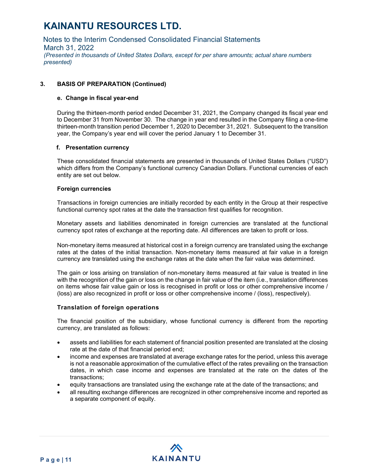Notes to the Interim Condensed Consolidated Financial Statements March 31, 2022 *(Presented in thousands of United States Dollars, except for per share amounts; actual share numbers presented)*

### **3. BASIS OF PREPARATION (Continued)**

#### **e. Change in fiscal year-end**

During the thirteen-month period ended December 31, 2021, the Company changed its fiscal year end to December 31 from November 30. The change in year end resulted in the Company filing a one-time thirteen-month transition period December 1, 2020 to December 31, 2021. Subsequent to the transition year, the Company's year end will cover the period January 1 to December 31.

#### **f. Presentation currency**

These consolidated financial statements are presented in thousands of United States Dollars ("USD") which differs from the Company's functional currency Canadian Dollars. Functional currencies of each entity are set out below.

#### **Foreign currencies**

Transactions in foreign currencies are initially recorded by each entity in the Group at their respective functional currency spot rates at the date the transaction first qualifies for recognition.

Monetary assets and liabilities denominated in foreign currencies are translated at the functional currency spot rates of exchange at the reporting date. All differences are taken to profit or loss.

Non-monetary items measured at historical cost in a foreign currency are translated using the exchange rates at the dates of the initial transaction. Non-monetary items measured at fair value in a foreign currency are translated using the exchange rates at the date when the fair value was determined.

The gain or loss arising on translation of non-monetary items measured at fair value is treated in line with the recognition of the gain or loss on the change in fair value of the item (i.e., translation differences on items whose fair value gain or loss is recognised in profit or loss or other comprehensive income / (loss) are also recognized in profit or loss or other comprehensive income / (loss), respectively).

#### **Translation of foreign operations**

The financial position of the subsidiary, whose functional currency is different from the reporting currency, are translated as follows:

- assets and liabilities for each statement of financial position presented are translated at the closing rate at the date of that financial period end;
- income and expenses are translated at average exchange rates for the period, unless this average is not a reasonable approximation of the cumulative effect of the rates prevailing on the transaction dates, in which case income and expenses are translated at the rate on the dates of the transactions;
- equity transactions are translated using the exchange rate at the date of the transactions; and
- all resulting exchange differences are recognized in other comprehensive income and reported as a separate component of equity.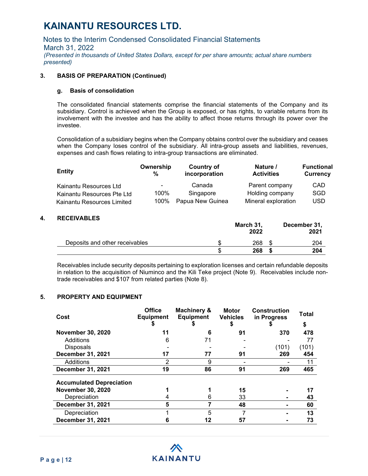Notes to the Interim Condensed Consolidated Financial Statements March 31, 2022 *(Presented in thousands of United States Dollars, except for per share amounts; actual share numbers presented)*

#### **3. BASIS OF PREPARATION (Continued)**

#### **g. Basis of consolidation**

The consolidated financial statements comprise the financial statements of the Company and its subsidiary. Control is achieved when the Group is exposed, or has rights, to variable returns from its involvement with the investee and has the ability to affect those returns through its power over the investee.

Consolidation of a subsidiary begins when the Company obtains control over the subsidiary and ceases when the Company loses control of the subsidiary. All intra-group assets and liabilities, revenues, expenses and cash flows relating to intra-group transactions are eliminated.

| <b>Entity</b>              | Ownership<br>% | Country of<br>incorporation | Nature /<br><b>Activities</b> | <b>Functional</b><br><b>Currency</b> |
|----------------------------|----------------|-----------------------------|-------------------------------|--------------------------------------|
| Kainantu Resources Ltd     | $\blacksquare$ | Canada                      | Parent company                | CAD                                  |
| Kainantu Resources Pte Ltd | 100%           | Singapore                   | Holding company               | SGD                                  |
| Kainantu Resources Limited | 100%           | Papua New Guinea            | Mineral exploration           | <b>USD</b>                           |

#### **4. RECEIVABLES**

|                                | March 31,<br>2022 | December 31,<br>2021 |
|--------------------------------|-------------------|----------------------|
| Deposits and other receivables | 268               |                      |
|                                | 268               | 204                  |

Receivables include security deposits pertaining to exploration licenses and certain refundable deposits in relation to the acquisition of Niuminco and the Kili Teke project (Note 9). Receivables include nontrade receivables and \$107 from related parties (Note 8).

#### **5. PROPERTY AND EQUIPMENT**

| Cost                            | <b>Office</b><br><b>Equipment</b> | <b>Machinery &amp;</b><br><b>Equipment</b> | <b>Motor</b><br><b>Vehicles</b> | <b>Construction</b><br>in Progress | Total<br>\$ |
|---------------------------------|-----------------------------------|--------------------------------------------|---------------------------------|------------------------------------|-------------|
| <b>November 30, 2020</b>        | 11                                | 6                                          | 91                              | 370                                | 478         |
| Additions                       | 6                                 | 71                                         |                                 |                                    | 77          |
| <b>Disposals</b>                |                                   |                                            |                                 | (101)                              | (101)       |
| December 31, 2021               | 17                                | 77                                         | 91                              | 269                                | 454         |
| Additions                       | 2                                 | 9                                          |                                 |                                    | 11          |
| December 31, 2021               | 19                                | 86                                         | 91                              | 269                                | 465         |
| <b>Accumulated Depreciation</b> |                                   |                                            |                                 |                                    |             |
| <b>November 30, 2020</b>        |                                   |                                            | 15                              |                                    | 17          |
| Depreciation                    | 4                                 | 6                                          | 33                              |                                    | 43          |
| <b>December 31, 2021</b>        | 5                                 |                                            | 48                              |                                    | 60          |
| Depreciation                    |                                   | 5                                          |                                 |                                    | 13          |
| December 31, 2021               | b                                 | 12                                         | 57                              |                                    | 73          |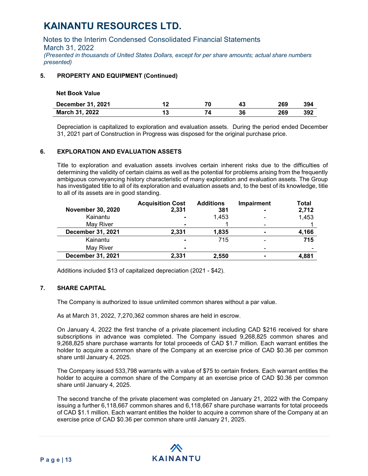Notes to the Interim Condensed Consolidated Financial Statements March 31, 2022 *(Presented in thousands of United States Dollars, except for per share amounts; actual share numbers presented)*

### **5. PROPERTY AND EQUIPMENT (Continued)**

| <b>Net Book Value</b>    |    |    |    |     |     |
|--------------------------|----|----|----|-----|-----|
| <b>December 31, 2021</b> | 12 | 70 | 43 | 269 | 394 |
| <b>March 31, 2022</b>    | 13 | 71 | 36 | 269 | 392 |

Depreciation is capitalized to exploration and evaluation assets. During the period ended December 31, 2021 part of Construction in Progress was disposed for the original purchase price.

### **6. EXPLORATION AND EVALUATION ASSETS**

Title to exploration and evaluation assets involves certain inherent risks due to the difficulties of determining the validity of certain claims as well as the potential for problems arising from the frequently ambiguous conveyancing history characteristic of many exploration and evaluation assets. The Group has investigated title to all of its exploration and evaluation assets and, to the best of its knowledge, title to all of its assets are in good standing.

|                          | <b>Acquisition Cost</b> | <b>Additions</b> | Impairment               | <b>Total</b> |
|--------------------------|-------------------------|------------------|--------------------------|--------------|
| <b>November 30, 2020</b> | 2,331                   | 381              |                          | 2,712        |
| Kainantu                 | $\blacksquare$          | 1.453            |                          | 1,453        |
| May River                | $\blacksquare$          |                  |                          |              |
| December 31, 2021        | 2,331                   | 1,835            | $\blacksquare$           | 4,166        |
| Kainantu                 |                         | 715              |                          | 715          |
| May River                | $\blacksquare$          |                  | -                        |              |
| December 31, 2021        | 2,331                   | 2,550            | $\overline{\phantom{0}}$ | 4,881        |

Additions included \$13 of capitalized depreciation (2021 - \$42).

### **7. SHARE CAPITAL**

The Company is authorized to issue unlimited common shares without a par value.

As at March 31, 2022, 7,270,362 common shares are held in escrow.

On January 4, 2022 the first tranche of a private placement including CAD \$216 received for share subscriptions in advance was completed. The Company issued 9,268,825 common shares and 9,268,825 share purchase warrants for total proceeds of CAD \$1.7 million. Each warrant entitles the holder to acquire a common share of the Company at an exercise price of CAD \$0.36 per common share until January 4, 2025.

The Company issued 533,798 warrants with a value of \$75 to certain finders. Each warrant entitles the holder to acquire a common share of the Company at an exercise price of CAD \$0.36 per common share until January 4, 2025.

The second tranche of the private placement was completed on January 21, 2022 with the Company issuing a further 6,118,667 common shares and 6,118,667 share purchase warrants for total proceeds of CAD \$1.1 million. Each warrant entitles the holder to acquire a common share of the Company at an exercise price of CAD \$0.36 per common share until January 21, 2025.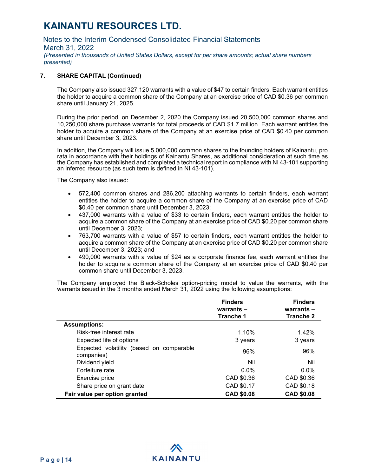Notes to the Interim Condensed Consolidated Financial Statements

March 31, 2022

*(Presented in thousands of United States Dollars, except for per share amounts; actual share numbers presented)*

### **7. SHARE CAPITAL (Continued)**

The Company also issued 327,120 warrants with a value of \$47 to certain finders. Each warrant entitles the holder to acquire a common share of the Company at an exercise price of CAD \$0.36 per common share until January 21, 2025.

During the prior period, on December 2, 2020 the Company issued 20,500,000 common shares and 10,250,000 share purchase warrants for total proceeds of CAD \$1.7 million. Each warrant entitles the holder to acquire a common share of the Company at an exercise price of CAD \$0.40 per common share until December 3, 2023.

In addition, the Company will issue 5,000,000 common shares to the founding holders of Kainantu, pro rata in accordance with their holdings of Kainantu Shares, as additional consideration at such time as the Company has established and completed a technical report in compliance with NI 43-101 supporting an inferred resource (as such term is defined in NI 43-101).

The Company also issued:

- 572,400 common shares and 286,200 attaching warrants to certain finders, each warrant entitles the holder to acquire a common share of the Company at an exercise price of CAD \$0.40 per common share until December 3, 2023;
- 437,000 warrants with a value of \$33 to certain finders, each warrant entitles the holder to acquire a common share of the Company at an exercise price of CAD \$0.20 per common share until December 3, 2023;
- 763,700 warrants with a value of \$57 to certain finders, each warrant entitles the holder to acquire a common share of the Company at an exercise price of CAD \$0.20 per common share until December 3, 2023; and
- 490,000 warrants with a value of \$24 as a corporate finance fee, each warrant entitles the holder to acquire a common share of the Company at an exercise price of CAD \$0.40 per common share until December 3, 2023.

The Company employed the Black-Scholes option-pricing model to value the warrants, with the warrants issued in the 3 months ended March 31, 2022 using the following assumptions:

|                                                        | <b>Finders</b><br>warrants $-$<br>Tranche 1 | <b>Finders</b><br>warrants $-$<br>Tranche 2 |
|--------------------------------------------------------|---------------------------------------------|---------------------------------------------|
| <b>Assumptions:</b>                                    |                                             |                                             |
| Risk-free interest rate                                | 1.10%                                       | 1.42%                                       |
| Expected life of options                               | 3 years                                     | 3 years                                     |
| Expected volatility (based on comparable<br>companies) | 96%                                         | 96%                                         |
| Dividend yield                                         | Nil                                         | Nil                                         |
| Forfeiture rate                                        | $0.0\%$                                     | $0.0\%$                                     |
| Exercise price                                         | CAD \$0.36                                  | CAD \$0.36                                  |
| Share price on grant date                              | CAD \$0.17                                  | CAD \$0.18                                  |
| Fair value per option granted                          | <b>CAD \$0.08</b>                           | <b>CAD \$0.08</b>                           |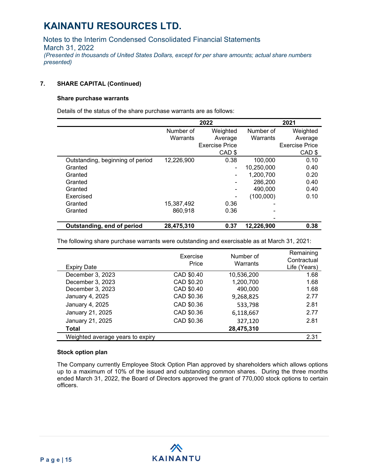Notes to the Interim Condensed Consolidated Financial Statements March 31, 2022 *(Presented in thousands of United States Dollars, except for per share amounts; actual share numbers presented)*

#### **7. SHARE CAPITAL (Continued)**

#### **Share purchase warrants**

Details of the status of the share purchase warrants are as follows:

|                                  | 2022       |                       | 2021       |                       |
|----------------------------------|------------|-----------------------|------------|-----------------------|
|                                  | Number of  | Weighted              | Number of  | Weighted              |
|                                  | Warrants   | Average               | Warrants   | Average               |
|                                  |            | <b>Exercise Price</b> |            | <b>Exercise Price</b> |
|                                  |            | CAD <sub>\$</sub>     |            | CAD \$                |
| Outstanding, beginning of period | 12,226,900 | 0.38                  | 100,000    | 0.10                  |
| Granted                          |            | -                     | 10,250,000 | 0.40                  |
| Granted                          |            |                       | 1,200,700  | 0.20                  |
| Granted                          |            |                       | 286,200    | 0.40                  |
| Granted                          |            |                       | 490,000    | 0.40                  |
| Exercised                        |            |                       | (100,000)  | 0.10                  |
| Granted                          | 15,387,492 | 0.36                  |            |                       |
| Granted                          | 860,918    | 0.36                  |            |                       |
|                                  |            |                       |            |                       |
| Outstanding, end of period       | 28,475,310 | 0.37                  | 12.226.900 | 0.38                  |

The following share purchase warrants were outstanding and exercisable as at March 31, 2021:

| <b>Expiry Date</b>               | Exercise<br>Price | Number of<br>Warrants | Remaining<br>Contractual<br>Life (Years) |
|----------------------------------|-------------------|-----------------------|------------------------------------------|
| December 3, 2023                 | CAD \$0.40        | 10,536,200            | 1.68                                     |
| December 3, 2023                 | CAD \$0.20        | 1,200,700             | 1.68                                     |
| December 3, 2023                 | CAD \$0.40        | 490,000               | 1.68                                     |
| January 4, 2025                  | CAD \$0.36        | 9,268,825             | 2.77                                     |
| January 4, 2025                  | CAD \$0.36        | 533,798               | 2.81                                     |
| January 21, 2025                 | CAD \$0.36        | 6,118,667             | 2.77                                     |
| January 21, 2025                 | CAD \$0.36        | 327,120               | 2.81                                     |
| Total                            |                   | 28,475,310            |                                          |
| Weighted average years to expiry |                   |                       | 2.31                                     |

#### **Stock option plan**

The Company currently Employee Stock Option Plan approved by shareholders which allows options up to a maximum of 10% of the issued and outstanding common shares. During the three months ended March 31, 2022, the Board of Directors approved the grant of 770,000 stock options to certain officers.

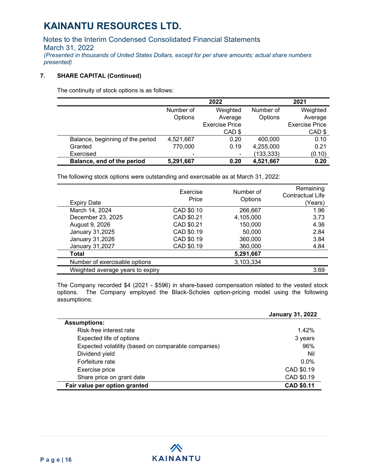Notes to the Interim Condensed Consolidated Financial Statements March 31, 2022 *(Presented in thousands of United States Dollars, except for per share amounts; actual share numbers presented)*

### **7. SHARE CAPITAL (Continued)**

The continuity of stock options is as follows:

|                                  | 2022      |                          | 2021       |                       |
|----------------------------------|-----------|--------------------------|------------|-----------------------|
|                                  | Number of | Weighted                 | Number of  | Weighted              |
|                                  | Options   | Average                  | Options    | Average               |
|                                  |           | <b>Exercise Price</b>    |            | <b>Exercise Price</b> |
|                                  |           | CAD \$                   |            | CAD \$                |
| Balance, beginning of the period | 4,521,667 | 0.20                     | 400,000    | 0.10                  |
| Granted                          | 770,000   | 0.19                     | 4,255,000  | 0.21                  |
| Exercised                        | -         | $\overline{\phantom{a}}$ | (133, 333) | (0.10)                |
| Balance, end of the period       | 5,291,667 | 0.20                     | 4,521,667  | 0.20                  |

The following stock options were outstanding and exercisable as at March 31, 2022:

| <b>Expiry Date</b>               | Exercise<br>Price | Number of<br>Options | Remaining<br><b>Contractual Life</b><br>(Years) |
|----------------------------------|-------------------|----------------------|-------------------------------------------------|
| March 14, 2024                   | CAD \$0.10        | 266,667              | 1.96                                            |
| December 23, 2025                | CAD \$0.21        | 4,105,000            | 3.73                                            |
| August 9, 2026                   | CAD \$0.21        | 150,000              | 4.36                                            |
| January 31,2025                  | CAD \$0.19        | 50,000               | 2.84                                            |
| January 31,2026                  | CAD \$0.19        | 360,000              | 3.84                                            |
| January 31,2027                  | CAD \$0.19        | 360,000              | 4.84                                            |
| Total                            |                   | 5,291,667            |                                                 |
| Number of exercisable options    |                   | 3,103,334            |                                                 |
| Weighted average years to expiry |                   |                      | 3.69                                            |

The Company recorded \$4 (2021 - \$596) in share-based compensation related to the vested stock options. The Company employed the Black-Scholes option-pricing model using the following assumptions:

|                                                     | <b>January 31, 2022</b> |
|-----------------------------------------------------|-------------------------|
| <b>Assumptions:</b>                                 |                         |
| Risk-free interest rate                             | 1.42%                   |
| Expected life of options                            | 3 years                 |
| Expected volatility (based on comparable companies) | 96%                     |
| Dividend yield                                      | Nil                     |
| Forfeiture rate                                     | $0.0\%$                 |
| Exercise price                                      | CAD \$0.19              |
| Share price on grant date                           | CAD \$0.19              |
| Fair value per option granted                       | <b>CAD \$0.11</b>       |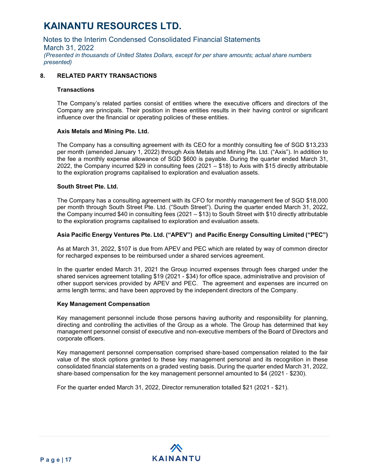Notes to the Interim Condensed Consolidated Financial Statements March 31, 2022 *(Presented in thousands of United States Dollars, except for per share amounts; actual share numbers presented)*

### **8. RELATED PARTY TRANSACTIONS**

#### **Transactions**

The Company's related parties consist of entities where the executive officers and directors of the Company are principals. Their position in these entities results in their having control or significant influence over the financial or operating policies of these entities.

#### **Axis Metals and Mining Pte. Ltd.**

The Company has a consulting agreement with its CEO for a monthly consulting fee of SGD \$13,233 per month (amended January 1, 2022) through Axis Metals and Mining Pte. Ltd. ("Axis"). In addition to the fee a monthly expense allowance of SGD \$600 is payable. During the quarter ended March 31, 2022, the Company incurred \$29 in consulting fees (2021 – \$18) to Axis with \$15 directly attributable to the exploration programs capitalised to exploration and evaluation assets.

#### **South Street Pte. Ltd.**

The Company has a consulting agreement with its CFO for monthly management fee of SGD \$18,000 per month through South Street Pte. Ltd. ("South Street"). During the quarter ended March 31, 2022, the Company incurred \$40 in consulting fees (2021 – \$13) to South Street with \$10 directly attributable to the exploration programs capitalised to exploration and evaluation assets.

#### **Asia Pacific Energy Ventures Pte. Ltd. ("APEV") and Pacific Energy Consulting Limited ("PEC")**

As at March 31, 2022, \$107 is due from APEV and PEC which are related by way of common director for recharged expenses to be reimbursed under a shared services agreement.

In the quarter ended March 31, 2021 the Group incurred expenses through fees charged under the shared services agreement totalling \$19 (2021 - \$34) for office space, administrative and provision of other support services provided by APEV and PEC. The agreement and expenses are incurred on arms length terms; and have been approved by the independent directors of the Company.

#### **Key Management Compensation**

Key management personnel include those persons having authority and responsibility for planning, directing and controlling the activities of the Group as a whole. The Group has determined that key management personnel consist of executive and non-executive members of the Board of Directors and corporate officers.

Key management personnel compensation comprised share‐based compensation related to the fair value of the stock options granted to these key management personal and its recognition in these consolidated financial statements on a graded vesting basis. During the quarter ended March 31, 2022, share-based compensation for the key management personnel amounted to \$4 (2021 - \$230).

For the quarter ended March 31, 2022, Director remuneration totalled \$21 (2021 - \$21).